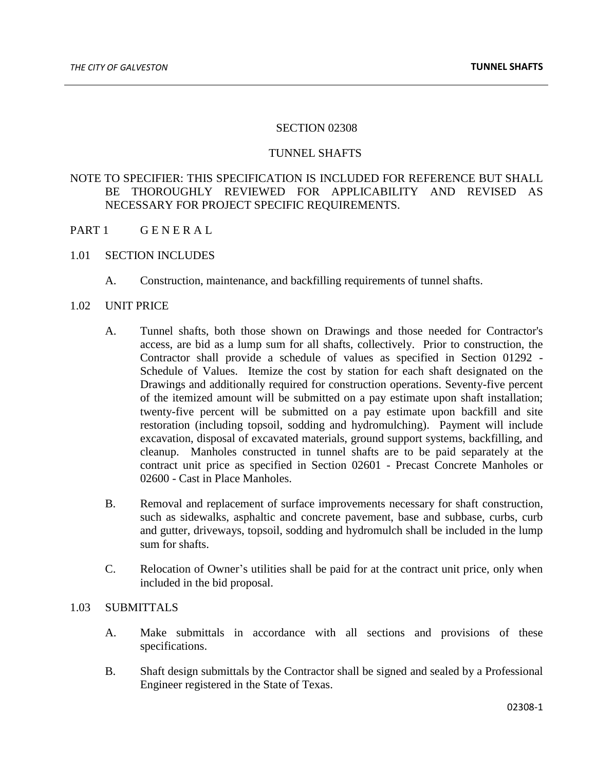### SECTION 02308

## TUNNEL SHAFTS

# NOTE TO SPECIFIER: THIS SPECIFICATION IS INCLUDED FOR REFERENCE BUT SHALL BE THOROUGHLY REVIEWED FOR APPLICABILITY AND REVISED AS NECESSARY FOR PROJECT SPECIFIC REQUIREMENTS.

- PART 1 GENERAL
- 1.01 SECTION INCLUDES
	- A. Construction, maintenance, and backfilling requirements of tunnel shafts.
- 1.02 UNIT PRICE
	- A. Tunnel shafts, both those shown on Drawings and those needed for Contractor's access, are bid as a lump sum for all shafts, collectively. Prior to construction, the Contractor shall provide a schedule of values as specified in Section 01292 - Schedule of Values. Itemize the cost by station for each shaft designated on the Drawings and additionally required for construction operations. Seventy-five percent of the itemized amount will be submitted on a pay estimate upon shaft installation; twenty-five percent will be submitted on a pay estimate upon backfill and site restoration (including topsoil, sodding and hydromulching). Payment will include excavation, disposal of excavated materials, ground support systems, backfilling, and cleanup. Manholes constructed in tunnel shafts are to be paid separately at the contract unit price as specified in Section 02601 - Precast Concrete Manholes or 02600 - Cast in Place Manholes.
	- B. Removal and replacement of surface improvements necessary for shaft construction, such as sidewalks, asphaltic and concrete pavement, base and subbase, curbs, curb and gutter, driveways, topsoil, sodding and hydromulch shall be included in the lump sum for shafts.
	- C. Relocation of Owner's utilities shall be paid for at the contract unit price, only when included in the bid proposal.

## 1.03 SUBMITTALS

- A. Make submittals in accordance with all sections and provisions of these specifications.
- B. Shaft design submittals by the Contractor shall be signed and sealed by a Professional Engineer registered in the State of Texas.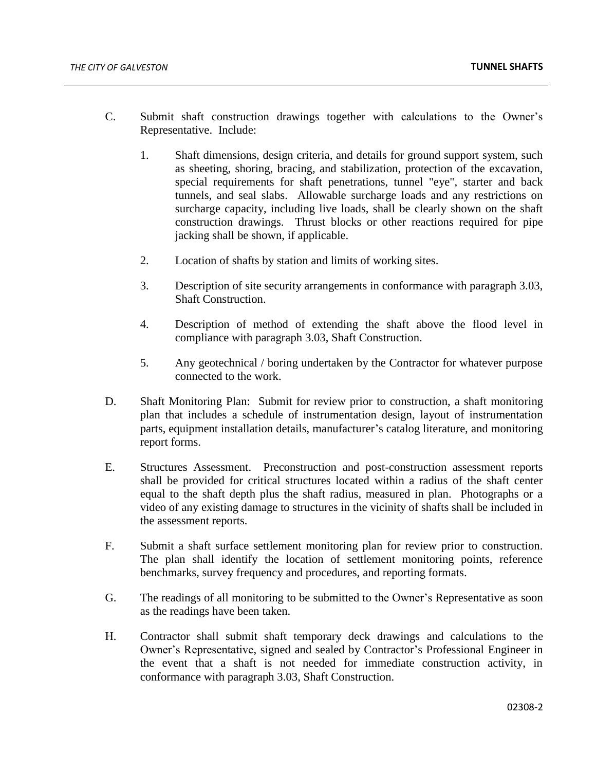- C. Submit shaft construction drawings together with calculations to the Owner's Representative. Include:
	- 1. Shaft dimensions, design criteria, and details for ground support system, such as sheeting, shoring, bracing, and stabilization, protection of the excavation, special requirements for shaft penetrations, tunnel "eye", starter and back tunnels, and seal slabs. Allowable surcharge loads and any restrictions on surcharge capacity, including live loads, shall be clearly shown on the shaft construction drawings. Thrust blocks or other reactions required for pipe jacking shall be shown, if applicable.
	- 2. Location of shafts by station and limits of working sites.
	- 3. Description of site security arrangements in conformance with paragraph 3.03, Shaft Construction.
	- 4. Description of method of extending the shaft above the flood level in compliance with paragraph 3.03, Shaft Construction.
	- 5. Any geotechnical / boring undertaken by the Contractor for whatever purpose connected to the work.
- D. Shaft Monitoring Plan: Submit for review prior to construction, a shaft monitoring plan that includes a schedule of instrumentation design, layout of instrumentation parts, equipment installation details, manufacturer's catalog literature, and monitoring report forms.
- E. Structures Assessment. Preconstruction and post-construction assessment reports shall be provided for critical structures located within a radius of the shaft center equal to the shaft depth plus the shaft radius, measured in plan. Photographs or a video of any existing damage to structures in the vicinity of shafts shall be included in the assessment reports.
- F. Submit a shaft surface settlement monitoring plan for review prior to construction. The plan shall identify the location of settlement monitoring points, reference benchmarks, survey frequency and procedures, and reporting formats.
- G. The readings of all monitoring to be submitted to the Owner's Representative as soon as the readings have been taken.
- H. Contractor shall submit shaft temporary deck drawings and calculations to the Owner's Representative, signed and sealed by Contractor's Professional Engineer in the event that a shaft is not needed for immediate construction activity, in conformance with paragraph 3.03, Shaft Construction.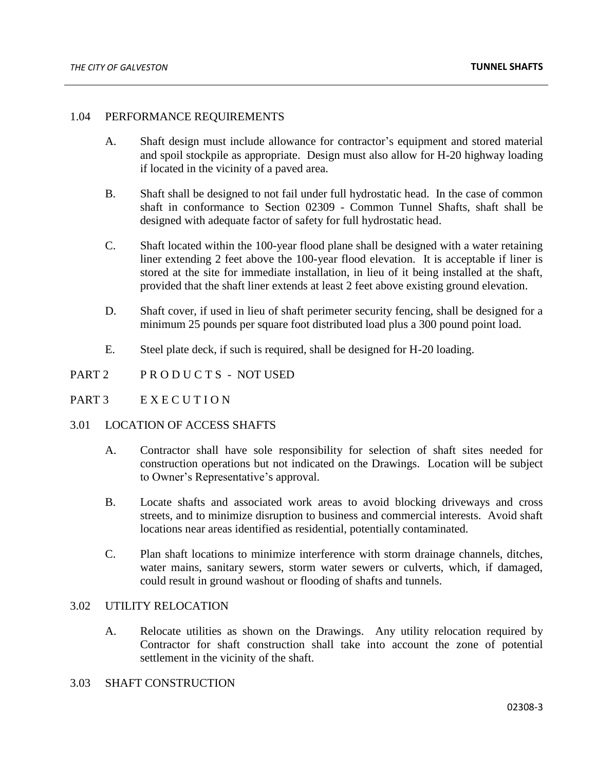## 1.04 PERFORMANCE REQUIREMENTS

- A. Shaft design must include allowance for contractor's equipment and stored material and spoil stockpile as appropriate. Design must also allow for H-20 highway loading if located in the vicinity of a paved area.
- B. Shaft shall be designed to not fail under full hydrostatic head. In the case of common shaft in conformance to Section 02309 - Common Tunnel Shafts, shaft shall be designed with adequate factor of safety for full hydrostatic head.
- C. Shaft located within the 100-year flood plane shall be designed with a water retaining liner extending 2 feet above the 100-year flood elevation. It is acceptable if liner is stored at the site for immediate installation, in lieu of it being installed at the shaft, provided that the shaft liner extends at least 2 feet above existing ground elevation.
- D. Shaft cover, if used in lieu of shaft perimeter security fencing, shall be designed for a minimum 25 pounds per square foot distributed load plus a 300 pound point load.
- E. Steel plate deck, if such is required, shall be designed for H-20 loading.
- PART 2 PRODUCTS NOT USED
- PART 3 EXECUTION

#### 3.01 LOCATION OF ACCESS SHAFTS

- A. Contractor shall have sole responsibility for selection of shaft sites needed for construction operations but not indicated on the Drawings. Location will be subject to Owner's Representative's approval.
- B. Locate shafts and associated work areas to avoid blocking driveways and cross streets, and to minimize disruption to business and commercial interests. Avoid shaft locations near areas identified as residential, potentially contaminated.
- C. Plan shaft locations to minimize interference with storm drainage channels, ditches, water mains, sanitary sewers, storm water sewers or culverts, which, if damaged, could result in ground washout or flooding of shafts and tunnels.

## 3.02 UTILITY RELOCATION

A. Relocate utilities as shown on the Drawings. Any utility relocation required by Contractor for shaft construction shall take into account the zone of potential settlement in the vicinity of the shaft.

# 3.03 SHAFT CONSTRUCTION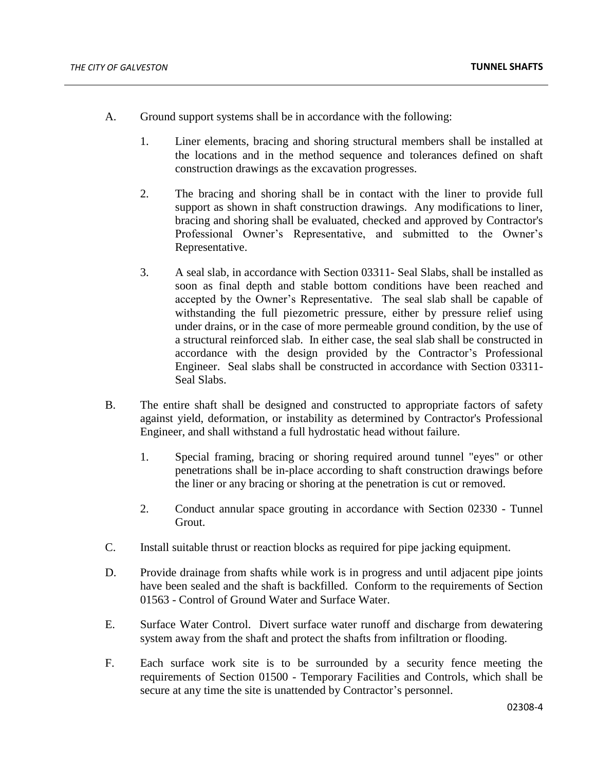- A. Ground support systems shall be in accordance with the following:
	- 1. Liner elements, bracing and shoring structural members shall be installed at the locations and in the method sequence and tolerances defined on shaft construction drawings as the excavation progresses.
	- 2. The bracing and shoring shall be in contact with the liner to provide full support as shown in shaft construction drawings. Any modifications to liner, bracing and shoring shall be evaluated, checked and approved by Contractor's Professional Owner's Representative, and submitted to the Owner's Representative.
	- 3. A seal slab, in accordance with Section 03311- Seal Slabs, shall be installed as soon as final depth and stable bottom conditions have been reached and accepted by the Owner's Representative. The seal slab shall be capable of withstanding the full piezometric pressure, either by pressure relief using under drains, or in the case of more permeable ground condition, by the use of a structural reinforced slab. In either case, the seal slab shall be constructed in accordance with the design provided by the Contractor's Professional Engineer. Seal slabs shall be constructed in accordance with Section 03311- Seal Slabs.
- B. The entire shaft shall be designed and constructed to appropriate factors of safety against yield, deformation, or instability as determined by Contractor's Professional Engineer, and shall withstand a full hydrostatic head without failure.
	- 1. Special framing, bracing or shoring required around tunnel "eyes" or other penetrations shall be in-place according to shaft construction drawings before the liner or any bracing or shoring at the penetration is cut or removed.
	- 2. Conduct annular space grouting in accordance with Section 02330 Tunnel Grout.
- C. Install suitable thrust or reaction blocks as required for pipe jacking equipment.
- D. Provide drainage from shafts while work is in progress and until adjacent pipe joints have been sealed and the shaft is backfilled. Conform to the requirements of Section 01563 - Control of Ground Water and Surface Water.
- E. Surface Water Control. Divert surface water runoff and discharge from dewatering system away from the shaft and protect the shafts from infiltration or flooding.
- F. Each surface work site is to be surrounded by a security fence meeting the requirements of Section 01500 - Temporary Facilities and Controls, which shall be secure at any time the site is unattended by Contractor's personnel.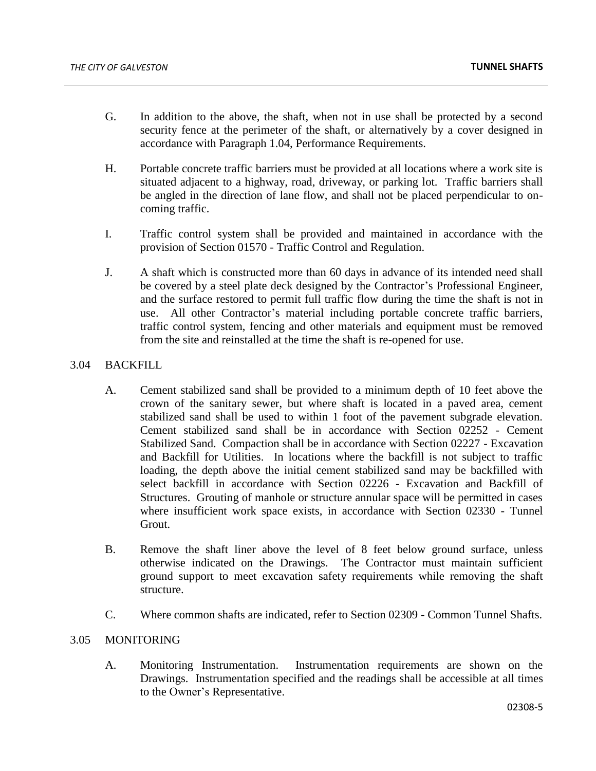- G. In addition to the above, the shaft, when not in use shall be protected by a second security fence at the perimeter of the shaft, or alternatively by a cover designed in accordance with Paragraph 1.04, Performance Requirements.
- H. Portable concrete traffic barriers must be provided at all locations where a work site is situated adjacent to a highway, road, driveway, or parking lot. Traffic barriers shall be angled in the direction of lane flow, and shall not be placed perpendicular to oncoming traffic.
- I. Traffic control system shall be provided and maintained in accordance with the provision of Section 01570 - Traffic Control and Regulation.
- J. A shaft which is constructed more than 60 days in advance of its intended need shall be covered by a steel plate deck designed by the Contractor's Professional Engineer, and the surface restored to permit full traffic flow during the time the shaft is not in use. All other Contractor's material including portable concrete traffic barriers, traffic control system, fencing and other materials and equipment must be removed from the site and reinstalled at the time the shaft is re-opened for use.

# 3.04 BACKFILL

- A. Cement stabilized sand shall be provided to a minimum depth of 10 feet above the crown of the sanitary sewer, but where shaft is located in a paved area, cement stabilized sand shall be used to within 1 foot of the pavement subgrade elevation. Cement stabilized sand shall be in accordance with Section 02252 - Cement Stabilized Sand. Compaction shall be in accordance with Section 02227 - Excavation and Backfill for Utilities. In locations where the backfill is not subject to traffic loading, the depth above the initial cement stabilized sand may be backfilled with select backfill in accordance with Section 02226 - Excavation and Backfill of Structures. Grouting of manhole or structure annular space will be permitted in cases where insufficient work space exists, in accordance with Section 02330 - Tunnel Grout.
- B. Remove the shaft liner above the level of 8 feet below ground surface, unless otherwise indicated on the Drawings. The Contractor must maintain sufficient ground support to meet excavation safety requirements while removing the shaft structure.
- C. Where common shafts are indicated, refer to Section 02309 Common Tunnel Shafts.

## 3.05 MONITORING

A. Monitoring Instrumentation. Instrumentation requirements are shown on the Drawings. Instrumentation specified and the readings shall be accessible at all times to the Owner's Representative.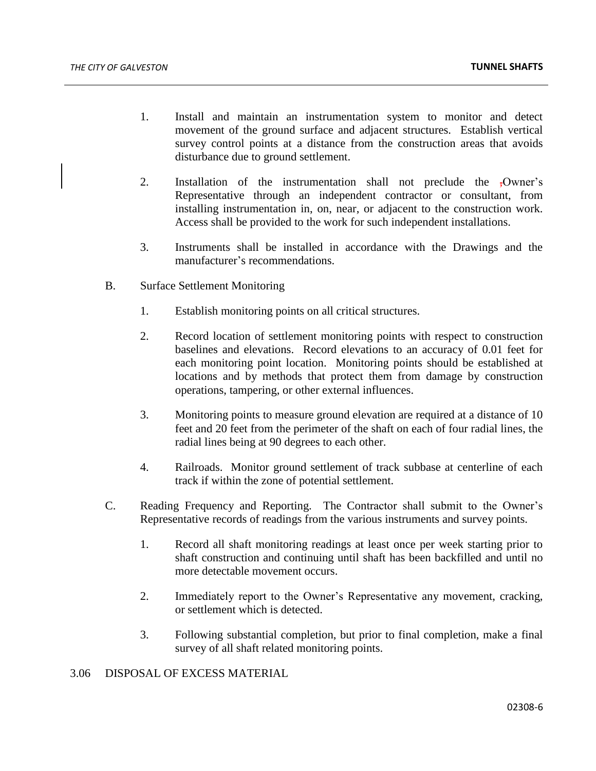- 1. Install and maintain an instrumentation system to monitor and detect movement of the ground surface and adjacent structures. Establish vertical survey control points at a distance from the construction areas that avoids disturbance due to ground settlement.
- 2. Installation of the instrumentation shall not preclude the ,Owner's Representative through an independent contractor or consultant, from installing instrumentation in, on, near, or adjacent to the construction work. Access shall be provided to the work for such independent installations.
- 3. Instruments shall be installed in accordance with the Drawings and the manufacturer's recommendations.
- B. Surface Settlement Monitoring
	- 1. Establish monitoring points on all critical structures.
	- 2. Record location of settlement monitoring points with respect to construction baselines and elevations. Record elevations to an accuracy of 0.01 feet for each monitoring point location. Monitoring points should be established at locations and by methods that protect them from damage by construction operations, tampering, or other external influences.
	- 3. Monitoring points to measure ground elevation are required at a distance of 10 feet and 20 feet from the perimeter of the shaft on each of four radial lines, the radial lines being at 90 degrees to each other.
	- 4. Railroads. Monitor ground settlement of track subbase at centerline of each track if within the zone of potential settlement.
- C. Reading Frequency and Reporting. The Contractor shall submit to the Owner's Representative records of readings from the various instruments and survey points.
	- 1. Record all shaft monitoring readings at least once per week starting prior to shaft construction and continuing until shaft has been backfilled and until no more detectable movement occurs.
	- 2. Immediately report to the Owner's Representative any movement, cracking, or settlement which is detected.
	- 3. Following substantial completion, but prior to final completion, make a final survey of all shaft related monitoring points.

## 3.06 DISPOSAL OF EXCESS MATERIAL